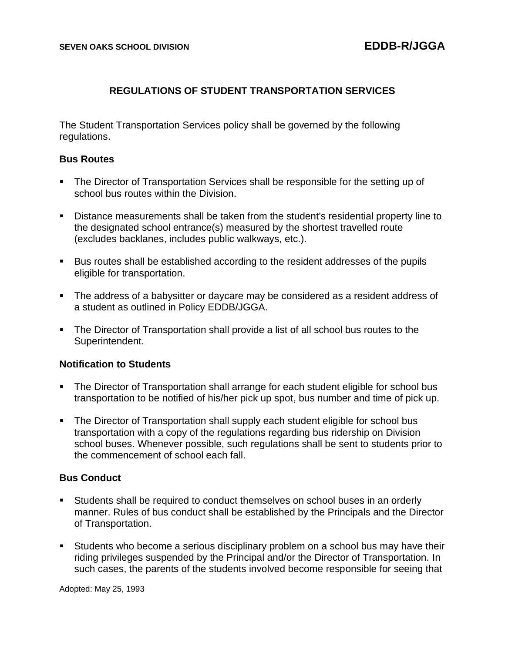# **REGULATIONS OF STUDENT TRANSPORTATION SERVICES**

The Student Transportation Services policy shall be governed by the following regulations.

### **Bus Routes**

- The Director of Transportation Services shall be responsible for the setting up of school bus routes within the Division.
- Distance measurements shall be taken from the student's residential property line to the designated school entrance(s) measured by the shortest travelled route (excludes backlanes, includes public walkways, etc.).
- Bus routes shall be established according to the resident addresses of the pupils eligible for transportation.
- The address of a babysitter or daycare may be considered as a resident address of a student as outlined in Policy EDDB/JGGA.
- The Director of Transportation shall provide a list of all school bus routes to the Superintendent.

## **Notification to Students**

- The Director of Transportation shall arrange for each student eligible for school bus transportation to be notified of his/her pick up spot, bus number and time of pick up.
- The Director of Transportation shall supply each student eligible for school bus transportation with a copy of the regulations regarding bus ridership on Division school buses. Whenever possible, such regulations shall be sent to students prior to the commencement of school each fall.

## **Bus Conduct**

- Students shall be required to conduct themselves on school buses in an orderly manner. Rules of bus conduct shall be established by the Principals and the Director of Transportation.
- **E** Students who become a serious disciplinary problem on a school bus may have their riding privileges suspended by the Principal and/or the Director of Transportation. In such cases, the parents of the students involved become responsible for seeing that

Adopted: May 25, 1993